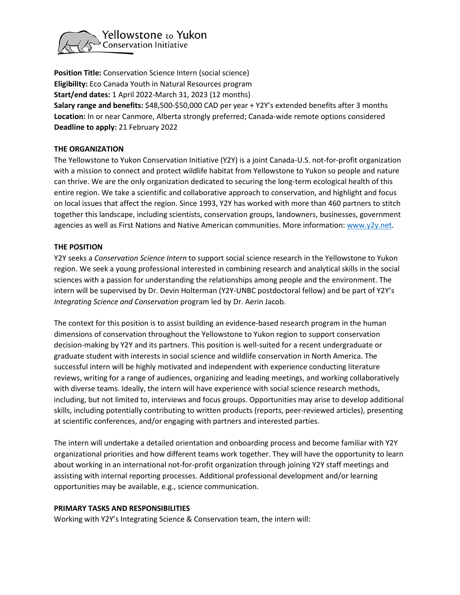

**Position Title:** Conservation Science Intern (social science) **Eligibility:** Eco Canada Youth in Natural Resources program **Start/end dates:** 1 April 2022-March 31, 2023 (12 months) **Salary range and benefits:** \$48,500-\$50,000 CAD per year + Y2Y's extended benefits after 3 months **Location:** In or near Canmore, Alberta strongly preferred; Canada-wide remote options considered **Deadline to apply:** 21 February 2022

## **THE ORGANIZATION**

The Yellowstone to Yukon Conservation Initiative (Y2Y) is a joint Canada-U.S. not-for-profit organization with a mission to connect and protect wildlife habitat from Yellowstone to Yukon so people and nature can thrive. We are the only organization dedicated to securing the long-term ecological health of this entire region. We take a scientific and collaborative approach to conservation, and highlight and focus on local issues that affect the region. Since 1993, Y2Y has worked with more than 460 partners to stitch together this landscape, including scientists, conservation groups, landowners, businesses, government agencies as well as First Nations and Native American communities. More information: [www.y2y.net.](http://www.y2y.net/)

# **THE POSITION**

Y2Y seeks a *Conservation Science Intern* to support social science research in the Yellowstone to Yukon region. We seek a young professional interested in combining research and analytical skills in the social sciences with a passion for understanding the relationships among people and the environment. The intern will be supervised by Dr. Devin Holterman (Y2Y-UNBC postdoctoral fellow) and be part of Y2Y's *Integrating Science and Conservation* program led by Dr. Aerin Jacob.

The context for this position is to assist building an evidence-based research program in the human dimensions of conservation throughout the Yellowstone to Yukon region to support conservation decision-making by Y2Y and its partners. This position is well-suited for a recent undergraduate or graduate student with interests in social science and wildlife conservation in North America. The successful intern will be highly motivated and independent with experience conducting literature reviews, writing for a range of audiences, organizing and leading meetings, and working collaboratively with diverse teams. Ideally, the intern will have experience with social science research methods, including, but not limited to, interviews and focus groups. Opportunities may arise to develop additional skills, including potentially contributing to written products (reports, peer-reviewed articles), presenting at scientific conferences, and/or engaging with partners and interested parties.

The intern will undertake a detailed orientation and onboarding process and become familiar with Y2Y organizational priorities and how different teams work together. They will have the opportunity to learn about working in an international not-for-profit organization through joining Y2Y staff meetings and assisting with internal reporting processes. Additional professional development and/or learning opportunities may be available, e.g., science communication.

## **PRIMARY TASKS AND RESPONSIBILITIES**

Working with Y2Y's Integrating Science & Conservation team, the intern will: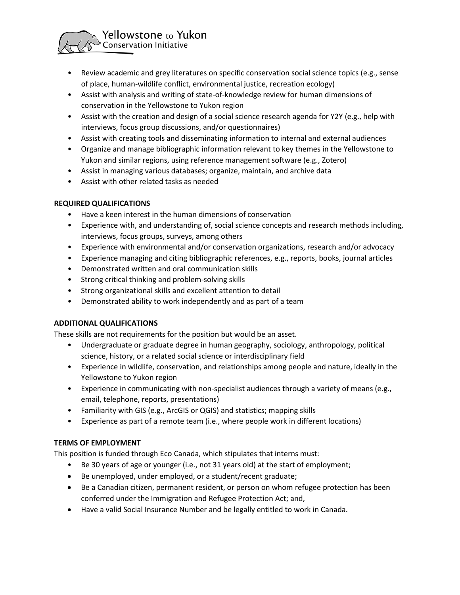

- Review academic and grey literatures on specific conservation social science topics (e.g., sense of place, human-wildlife conflict, environmental justice, recreation ecology)
- Assist with analysis and writing of state-of-knowledge review for human dimensions of conservation in the Yellowstone to Yukon region
- Assist with the creation and design of a social science research agenda for Y2Y (e.g., help with interviews, focus group discussions, and/or questionnaires)
- Assist with creating tools and disseminating information to internal and external audiences
- Organize and manage bibliographic information relevant to key themes in the Yellowstone to Yukon and similar regions, using reference management software (e.g., Zotero)
- Assist in managing various databases; organize, maintain, and archive data
- Assist with other related tasks as needed

## **REQUIRED QUALIFICATIONS**

- Have a keen interest in the human dimensions of conservation
- Experience with, and understanding of, social science concepts and research methods including, interviews, focus groups, surveys, among others
- Experience with environmental and/or conservation organizations, research and/or advocacy
- Experience managing and citing bibliographic references, e.g., reports, books, journal articles
- Demonstrated written and oral communication skills
- Strong critical thinking and problem-solving skills
- Strong organizational skills and excellent attention to detail
- Demonstrated ability to work independently and as part of a team

## **ADDITIONAL QUALIFICATIONS**

These skills are not requirements for the position but would be an asset.

- Undergraduate or graduate degree in human geography, sociology, anthropology, political science, history, or a related social science or interdisciplinary field
- Experience in wildlife, conservation, and relationships among people and nature, ideally in the Yellowstone to Yukon region
- Experience in communicating with non-specialist audiences through a variety of means (e.g., email, telephone, reports, presentations)
- Familiarity with GIS (e.g., ArcGIS or QGIS) and statistics; mapping skills
- Experience as part of a remote team (i.e., where people work in different locations)

## **TERMS OF EMPLOYMENT**

This position is funded through Eco Canada, which stipulates that interns must:

- Be 30 years of age or younger (i.e., not 31 years old) at the start of employment;
- Be unemployed, under employed, or a student/recent graduate;
- Be a Canadian citizen, permanent resident, or person on whom refugee protection has been conferred under the Immigration and Refugee Protection Act; and,
- Have a valid Social Insurance Number and be legally entitled to work in Canada.